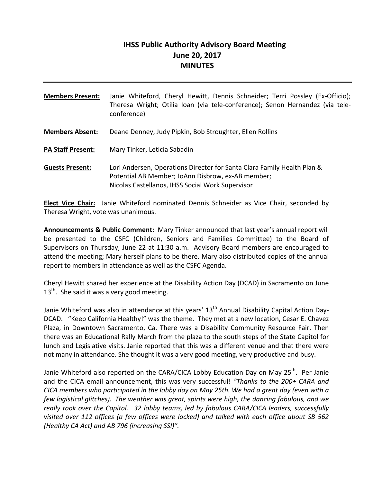# **IHSS Public Authority Advisory Board Meeting June 20, 2017 MINUTES**

| <b>Members Present:</b>  | Janie Whiteford, Cheryl Hewitt, Dennis Schneider; Terri Possley (Ex-Officio);<br>Theresa Wright; Otilia Ioan (via tele-conference); Senon Hernandez (via tele-<br>conference)    |
|--------------------------|----------------------------------------------------------------------------------------------------------------------------------------------------------------------------------|
| <b>Members Absent:</b>   | Deane Denney, Judy Pipkin, Bob Stroughter, Ellen Rollins                                                                                                                         |
| <b>PA Staff Present:</b> | Mary Tinker, Leticia Sabadin                                                                                                                                                     |
| <b>Guests Present:</b>   | Lori Andersen, Operations Director for Santa Clara Family Health Plan &<br>Potential AB Member; JoAnn Disbrow, ex-AB member;<br>Nicolas Castellanos, IHSS Social Work Supervisor |

**Elect Vice Chair:** Janie Whiteford nominated Dennis Schneider as Vice Chair, seconded by Theresa Wright, vote was unanimous.

**Announcements & Public Comment:** Mary Tinker announced that last year's annual report will be presented to the CSFC (Children, Seniors and Families Committee) to the Board of Supervisors on Thursday, June 22 at 11:30 a.m. Advisory Board members are encouraged to attend the meeting; Mary herself plans to be there. Mary also distributed copies of the annual report to members in attendance as well as the CSFC Agenda.

Cheryl Hewitt shared her experience at the Disability Action Day (DCAD) in Sacramento on June  $13<sup>th</sup>$ . She said it was a very good meeting.

Janie Whiteford was also in attendance at this years' 13<sup>th</sup> Annual Disability Capital Action Day-DCAD. "Keep California Healthy!" was the theme. They met at a new location, Cesar E. Chavez Plaza, in Downtown Sacramento, Ca. There was a Disability Community Resource Fair. Then there was an Educational Rally March from the plaza to the south steps of the State Capitol for lunch and Legislative visits. Janie reported that this was a different venue and that there were not many in attendance. She thought it was a very good meeting, very productive and busy.

Janie Whiteford also reported on the CARA/CICA Lobby Education Day on May  $25^{th}$ . Per Janie and the CICA email announcement, this was very successful! *"Thanks to the 200+ CARA and CICA members who participated in the lobby day on May 25th. We had a great day (even with a few logistical glitches). The weather was great, spirits were high, the dancing fabulous, and we really took over the Capitol. 32 lobby teams, led by fabulous CARA/CICA leaders, successfully visited over 112 offices (a few offices were locked) and talked with each office about SB 562 (Healthy CA Act) and AB 796 (increasing SSI)".*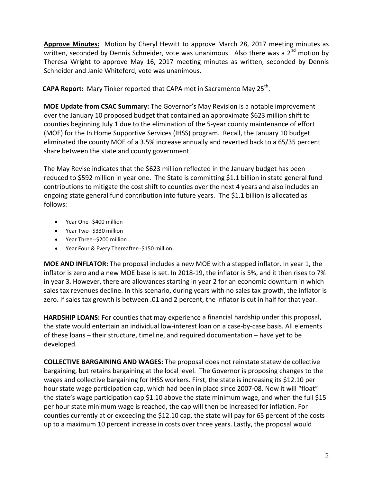**Approve Minutes:** Motion by Cheryl Hewitt to approve March 28, 2017 meeting minutes as written, seconded by Dennis Schneider, vote was unanimous. Also there was a  $2^{nd}$  motion by Theresa Wright to approve May 16, 2017 meeting minutes as written, seconded by Dennis Schneider and Janie Whiteford, vote was unanimous.

**CAPA Report:** Mary Tinker reported that CAPA met in Sacramento May 25<sup>th</sup>.

**MOE Update from CSAC Summary:** The Governor's May Revision is a notable improvement over the January 10 proposed budget that contained an approximate \$623 million shift to counties beginning July 1 due to the elimination of the 5‐year county maintenance of effort (MOE) for the In Home Supportive Services (IHSS) program. Recall, the January 10 budget eliminated the county MOE of a 3.5% increase annually and reverted back to a 65/35 percent share between the state and county government.

The May Revise indicates that the \$623 million reflected in the January budget has been reduced to \$592 million in year one. The State is committing \$1.1 billion in state general fund contributions to mitigate the cost shift to counties over the next 4 years and also includes an ongoing state general fund contribution into future years. The \$1.1 billion is allocated as follows:

- Year One--\$400 million
- Year Two--\$330 million
- Year Three--\$200 million
- Year Four & Every Thereafter--\$150 million.

**MOE AND INFLATOR:** The proposal includes a new MOE with a stepped inflator. In year 1, the inflator is zero and a new MOE base is set. In 2018‐19, the inflator is 5%, and it then rises to 7% in year 3. However, there are allowances starting in year 2 for an economic downturn in which sales tax revenues decline. In this scenario, during years with no sales tax growth, the inflator is zero. If sales tax growth is between .01 and 2 percent, the inflator is cut in half for that year.

**HARDSHIP LOANS:** For counties that may experience a financial hardship under this proposal, the state would entertain an individual low‐interest loan on a case‐by‐case basis. All elements of these loans – their structure, timeline, and required documentation – have yet to be developed.

**COLLECTIVE BARGAINING AND WAGES:** The proposal does not reinstate statewide collective bargaining, but retains bargaining at the local level. The Governor is proposing changes to the wages and collective bargaining for IHSS workers. First, the state is increasing its \$12.10 per hour state wage participation cap, which had been in place since 2007-08. Now it will "float" the state's wage participation cap \$1.10 above the state minimum wage, and when the full \$15 per hour state minimum wage is reached, the cap will then be increased for inflation. For counties currently at or exceeding the \$12.10 cap, the state will pay for 65 percent of the costs up to a maximum 10 percent increase in costs over three years. Lastly, the proposal would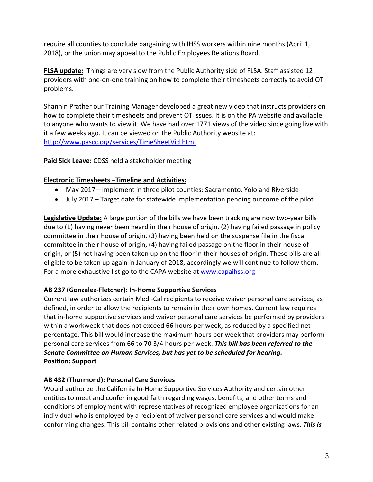require all counties to conclude bargaining with IHSS workers within nine months (April 1, 2018), or the union may appeal to the Public Employees Relations Board.

**FLSA update:** Things are very slow from the Public Authority side of FLSA. Staff assisted 12 providers with one‐on‐one training on how to complete their timesheets correctly to avoid OT problems.

Shannin Prather our Training Manager developed a great new video that instructs providers on how to complete their timesheets and prevent OT issues. It is on the PA website and available to anyone who wants to view it. We have had over 1771 views of the video since going live with it a few weeks ago. It can be viewed on the Public Authority website at: http://www.pascc.org/services/TimeSheetVid.html

### **Paid Sick Leave:** CDSS held a stakeholder meeting

## **Electronic Timesheets –Timeline and Activities:**

- May 2017—Implement in three pilot counties: Sacramento, Yolo and Riverside
- July 2017 Target date for statewide implementation pending outcome of the pilot

**Legislative Update:** A large portion of the bills we have been tracking are now two‐year bills due to (1) having never been heard in their house of origin, (2) having failed passage in policy committee in their house of origin, (3) having been held on the suspense file in the fiscal committee in their house of origin, (4) having failed passage on the floor in their house of origin, or (5) not having been taken up on the floor in their houses of origin. These bills are all eligible to be taken up again in January of 2018, accordingly we will continue to follow them. For a more exhaustive list go to the CAPA website at www.capaihss.org

### **AB 237 (Gonzalez‐Fletcher): In‐Home Supportive Services**

Current law authorizes certain Medi‐Cal recipients to receive waiver personal care services, as defined, in order to allow the recipients to remain in their own homes. Current law requires that in‐home supportive services and waiver personal care services be performed by providers within a workweek that does not exceed 66 hours per week, as reduced by a specified net percentage. This bill would increase the maximum hours per week that providers may perform personal care services from 66 to 70 3/4 hours per week. *This bill has been referred to the Senate Committee on Human Services, but has yet to be scheduled for hearing.*  **Position: Support**

## **AB 432 (Thurmond): Personal Care Services**

Would authorize the California In‐Home Supportive Services Authority and certain other entities to meet and confer in good faith regarding wages, benefits, and other terms and conditions of employment with representatives of recognized employee organizations for an individual who is employed by a recipient of waiver personal care services and would make conforming changes. This bill contains other related provisions and other existing laws. *This is*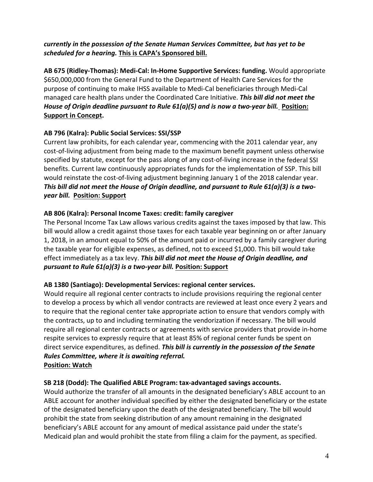## *currently in the possession of the Senate Human Services Committee, but has yet to be scheduled for a hearing.* **This is CAPA's Sponsored bill.**

**AB 675 (Ridley‐Thomas): Medi‐Cal: In‐Home Supportive Services: funding.** Would appropriate \$650,000,000 from the General Fund to the Department of Health Care Services for the purpose of continuing to make IHSS available to Medi‐Cal beneficiaries through Medi‐Cal managed care health plans under the Coordinated Care Initiative. *This bill did not meet the House of Origin deadline pursuant to Rule 61(a)(5) and is now a two‐year bill.* **Position: Support in Concept.**

## **AB 796 (Kalra): Public Social Services: SSI/SSP**

Current law prohibits, for each calendar year, commencing with the 2011 calendar year, any cost‐of‐living adjustment from being made to the maximum benefit payment unless otherwise specified by statute, except for the pass along of any cost-of-living increase in the federal SSI benefits. Current law continuously appropriates funds for the implementation of SSP. This bill would reinstate the cost-of-living adjustment beginning January 1 of the 2018 calendar year. This bill did not meet the House of Origin deadline, and pursuant to Rule  $61(a)(3)$  is a two*year bill.* **Position: Support**

## **AB 806 (Kalra): Personal Income Taxes: credit: family caregiver**

The Personal Income Tax Law allows various credits against the taxes imposed by that law. This bill would allow a credit against those taxes for each taxable year beginning on or after January 1, 2018, in an amount equal to 50% of the amount paid or incurred by a family caregiver during the taxable year for eligible expenses, as defined, not to exceed \$1,000. This bill would take effect immediately as a tax levy. *This bill did not meet the House of Origin deadline, and pursuant to Rule 61(a)(3) is a two‐year bill.* **Position: Support**

### **AB 1380 (Santiago): Developmental Services: regional center services.**

Would require all regional center contracts to include provisions requiring the regional center to develop a process by which all vendor contracts are reviewed at least once every 2 years and to require that the regional center take appropriate action to ensure that vendors comply with the contracts, up to and including terminating the vendorization if necessary. The bill would require all regional center contracts or agreements with service providers that provide in‐home respite services to expressly require that at least 85% of regional center funds be spent on direct service expenditures, as defined. *This bill is currently in the possession of the Senate Rules Committee, where it is awaiting referral.* **Position: Watch**

### **SB 218 (Dodd): The Qualified ABLE Program: tax‐advantaged savings accounts.**

Would authorize the transfer of all amounts in the designated beneficiary's ABLE account to an ABLE account for another individual specified by either the designated beneficiary or the estate of the designated beneficiary upon the death of the designated beneficiary. The bill would prohibit the state from seeking distribution of any amount remaining in the designated beneficiary's ABLE account for any amount of medical assistance paid under the state's Medicaid plan and would prohibit the state from filing a claim for the payment, as specified.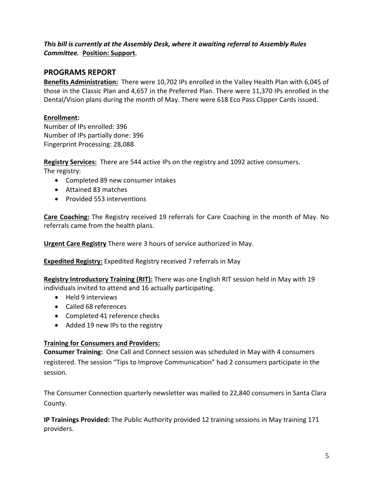## *This bill is currently at the Assembly Desk, where it awaiting referral to Assembly Rules Committee.* **Position: Support.**

# **PROGRAMS REPORT**

**Benefits Administration:** There were 10,702 IPs enrolled in the Valley Health Plan with 6,045 of those in the Classic Plan and 4,657 in the Preferred Plan. There were 11,370 IPs enrolled in the Dental/Vision plans during the month of May. There were 618 Eco Pass Clipper Cards issued.

## **Enrollment:**

Number of IPs enrolled: 396 Number of IPs partially done: 396 Fingerprint Processing: 28,088

**Registry Services:** There are 544 active IPs on the registry and 1092 active consumers.

The registry:

- Completed 89 new consumer intakes
- Attained 83 matches
- Provided 553 interventions

**Care Coaching:** The Registry received 19 referrals for Care Coaching in the month of May. No referrals came from the health plans.

**Urgent Care Registry** There were 3 hours of service authorized in May.

**Expedited Registry:** Expedited Registry received 7 referrals in May

**Registry Introductory Training (RIT):** There was one English RIT session held in May with 19 individuals invited to attend and 16 actually participating.

- Held 9 interviews
- Called 68 references
- Completed 41 reference checks
- Added 19 new IPs to the registry

### **Training for Consumers and Providers:**

**Consumer Training:** One Call and Connect session was scheduled in May with 4 consumers registered. The session "Tips to Improve Communication" had 2 consumers participate in the session.

The Consumer Connection quarterly newsletter was mailed to 22,840 consumers in Santa Clara County.

**IP Trainings Provided:** The Public Authority provided 12 training sessions in May training 171 providers.